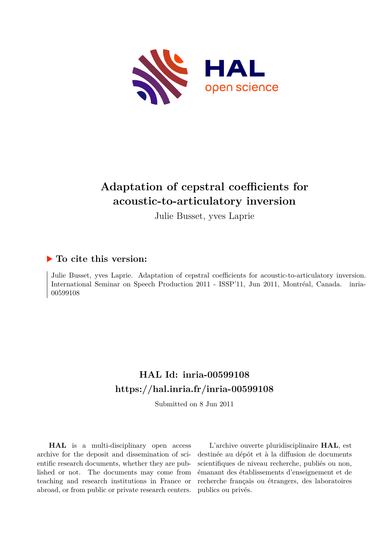

# **Adaptation of cepstral coefficients for acoustic-to-articulatory inversion**

Julie Busset, yves Laprie

### **To cite this version:**

Julie Busset, yves Laprie. Adaptation of cepstral coefficients for acoustic-to-articulatory inversion. International Seminar on Speech Production 2011 - ISSP'11, Jun 2011, Montréal, Canada. inria-00599108ff

## **HAL Id: inria-00599108 <https://hal.inria.fr/inria-00599108>**

Submitted on 8 Jun 2011

**HAL** is a multi-disciplinary open access archive for the deposit and dissemination of scientific research documents, whether they are published or not. The documents may come from teaching and research institutions in France or abroad, or from public or private research centers.

L'archive ouverte pluridisciplinaire **HAL**, est destinée au dépôt et à la diffusion de documents scientifiques de niveau recherche, publiés ou non, émanant des établissements d'enseignement et de recherche français ou étrangers, des laboratoires publics ou privés.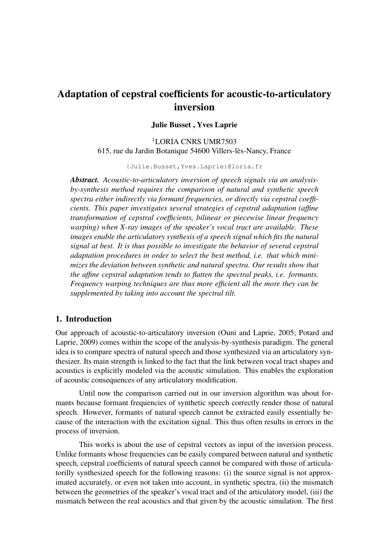## Adaptation of cepstral coefficients for acoustic-to-articulatory inversion

#### Julie Busset , Yves Laprie

<sup>1</sup>LORIA CNRS UMR7503 615, rue du Jardin Botanique 54600 Villers-lès-Nancy, France

{Julie.Busset,Yves.Laprie}@loria.fr

*Abstract. Acoustic-to-articulatory inversion of speech signals via an analysisby-synthesis method requires the comparison of natural and synthetic speech spectra either indirectly via formant frequencies, or directly via cepstral coefficients. This paper investigates several strategies of cepstral adaptation (affine transformation of cepstral coefficients, bilinear or piecewise linear frequency warping) when X-ray images of the speaker's vocal tract are available. These images enable the articulatory synthesis of a speech signal which fits the natural signal at best. It is thus possible to investigate the behavior of several cepstral adaptation procedures in order to select the best method, i.e. that which minimizes the deviation between synthetic and natural spectra. Our results show that the affine cepstral adaptation tends to flatten the spectral peaks, i.e. formants. Frequency warping techniques are thus more efficient all the more they can be supplemented by taking into account the spectral tilt.*

#### 1. Introduction

Our approach of acoustic-to-articulatory inversion (Ouni and Laprie, 2005; Potard and Laprie, 2009) comes within the scope of the analysis-by-synthesis paradigm. The general idea is to compare spectra of natural speech and those synthesized via an articulatory synthesizer. Its main strength is linked to the fact that the link between vocal tract shapes and acoustics is explicitly modeled via the acoustic simulation. This enables the exploration of acoustic consequences of any articulatory modification.

Until now the comparison carried out in our inversion algorithm was about formants because formant frequencies of synthetic speech correctly render those of natural speech. However, formants of natural speech cannot be extracted easily essentially because of the interaction with the excitation signal. This thus often results in errors in the process of inversion.

This works is about the use of cepstral vectors as input of the inversion process. Unlike formants whose frequencies can be easily compared between natural and synthetic speech, cepstral coefficients of natural speech cannot be compared with those of articulatorilly synthesized speech for the following reasons: (i) the source signal is not approximated accurately, or even not taken into account, in synthetic spectra, (ii) the mismatch between the geometries of the speaker's vocal tract and of the articulatory model, (iii) the mismatch between the real acoustics and that given by the acoustic simulation. The first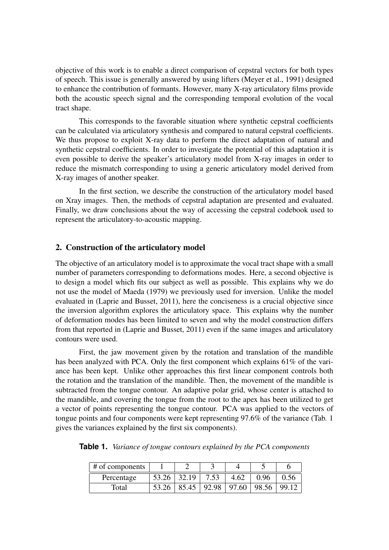objective of this work is to enable a direct comparison of cepstral vectors for both types of speech. This issue is generally answered by using lifters (Meyer et al., 1991) designed to enhance the contribution of formants. However, many X-ray articulatory films provide both the acoustic speech signal and the corresponding temporal evolution of the vocal tract shape.

This corresponds to the favorable situation where synthetic cepstral coefficients can be calculated via articulatory synthesis and compared to natural cepstral coefficients. We thus propose to exploit X-ray data to perform the direct adaptation of natural and synthetic cepstral coefficients. In order to investigate the potential of this adaptation it is even possible to derive the speaker's articulatory model from X-ray images in order to reduce the mismatch corresponding to using a generic articulatory model derived from X-ray images of another speaker.

In the first section, we describe the construction of the articulatory model based on Xray images. Then, the methods of cepstral adaptation are presented and evaluated. Finally, we draw conclusions about the way of accessing the cepstral codebook used to represent the articulatory-to-acoustic mapping.

#### 2. Construction of the articulatory model

The objective of an articulatory model is to approximate the vocal tract shape with a small number of parameters corresponding to deformations modes. Here, a second objective is to design a model which fits our subject as well as possible. This explains why we do not use the model of Maeda (1979) we previously used for inversion. Unlike the model evaluated in (Laprie and Busset, 2011), here the conciseness is a crucial objective since the inversion algorithm explores the articulatory space. This explains why the number of deformation modes has been limited to seven and why the model construction differs from that reported in (Laprie and Busset, 2011) even if the same images and articulatory contours were used.

First, the jaw movement given by the rotation and translation of the mandible has been analyzed with PCA. Only the first component which explains 61% of the variance has been kept. Unlike other approaches this first linear component controls both the rotation and the translation of the mandible. Then, the movement of the mandible is subtracted from the tongue contour. An adaptive polar grid, whose center is attached to the mandible, and covering the tongue from the root to the apex has been utilized to get a vector of points representing the tongue contour. PCA was applied to the vectors of tongue points and four components were kept representing 97.6% of the variance (Tab. 1 gives the variances explained by the first six components).

**Table 1.** *Variance of tongue contours explained by the PCA components*

| $#$ of components |       |         |      |      |                                       |      |
|-------------------|-------|---------|------|------|---------------------------------------|------|
| Percentage        | 53.26 | 32.19   | 7.53 | 4.62 | 0.96                                  | 0.56 |
| Total             | 53.26 | . 85.45 |      |      | $\vert$ 92.98   97.60   98.56   99.12 |      |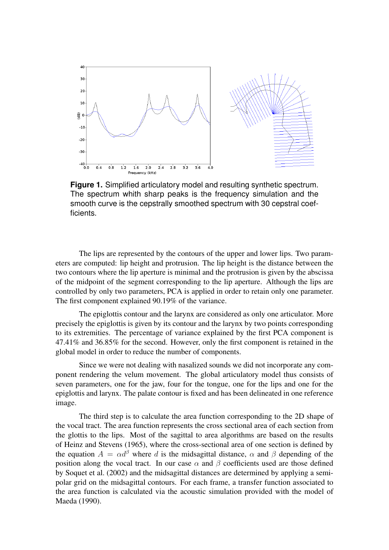

**Figure 1.** Simplified articulatory model and resulting synthetic spectrum. The spectrum whith sharp peaks is the frequency simulation and the smooth curve is the cepstrally smoothed spectrum with 30 cepstral coefficients.

The lips are represented by the contours of the upper and lower lips. Two parameters are computed: lip height and protrusion. The lip height is the distance between the two contours where the lip aperture is minimal and the protrusion is given by the abscissa of the midpoint of the segment corresponding to the lip aperture. Although the lips are controlled by only two parameters, PCA is applied in order to retain only one parameter. The first component explained 90.19% of the variance.

The epiglottis contour and the larynx are considered as only one articulator. More precisely the epiglottis is given by its contour and the larynx by two points corresponding to its extremities. The percentage of variance explained by the first PCA component is 47.41% and 36.85% for the second. However, only the first component is retained in the global model in order to reduce the number of components.

Since we were not dealing with nasalized sounds we did not incorporate any component rendering the velum movement. The global articulatory model thus consists of seven parameters, one for the jaw, four for the tongue, one for the lips and one for the epiglottis and larynx. The palate contour is fixed and has been delineated in one reference image.

The third step is to calculate the area function corresponding to the 2D shape of the vocal tract. The area function represents the cross sectional area of each section from the glottis to the lips. Most of the sagittal to area algorithms are based on the results of Heinz and Stevens (1965), where the cross-sectional area of one section is defined by the equation  $A = \alpha d^{\beta}$  where d is the midsagittal distance,  $\alpha$  and  $\beta$  depending of the position along the vocal tract. In our case  $\alpha$  and  $\beta$  coefficients used are those defined by Soquet et al. (2002) and the midsagittal distances are determined by applying a semipolar grid on the midsagittal contours. For each frame, a transfer function associated to the area function is calculated via the acoustic simulation provided with the model of Maeda (1990).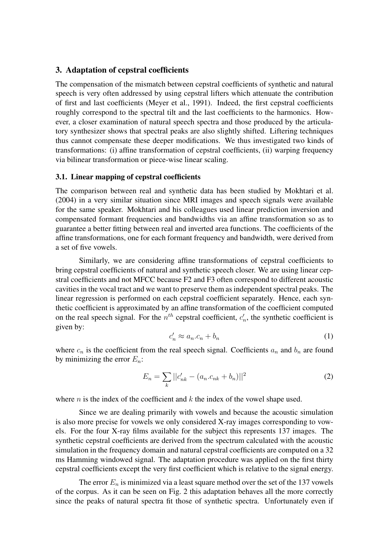#### 3. Adaptation of cepstral coefficients

The compensation of the mismatch between cepstral coefficients of synthetic and natural speech is very often addressed by using cepstral lifters which attenuate the contribution of first and last coefficients (Meyer et al., 1991). Indeed, the first cepstral coefficients roughly correspond to the spectral tilt and the last coefficients to the harmonics. However, a closer examination of natural speech spectra and those produced by the articulatory synthesizer shows that spectral peaks are also slightly shifted. Liftering techniques thus cannot compensate these deeper modifications. We thus investigated two kinds of transformations: (i) affine transformation of cepstral coefficients, (ii) warping frequency via bilinear transformation or piece-wise linear scaling.

#### 3.1. Linear mapping of cepstral coefficients

The comparison between real and synthetic data has been studied by Mokhtari et al. (2004) in a very similar situation since MRI images and speech signals were available for the same speaker. Mokhtari and his colleagues used linear prediction inversion and compensated formant frequencies and bandwidths via an affine transformation so as to guarantee a better fitting between real and inverted area functions. The coefficients of the affine transformations, one for each formant frequency and bandwidth, were derived from a set of five vowels.

Similarly, we are considering affine transformations of cepstral coefficients to bring cepstral coefficients of natural and synthetic speech closer. We are using linear cepstral coefficients and not MFCC because F2 and F3 often correspond to different acoustic cavities in the vocal tract and we want to preserve them as independent spectral peaks. The linear regression is performed on each cepstral coefficient separately. Hence, each synthetic coefficient is approximated by an affine transformation of the coefficient computed on the real speech signal. For the  $n^{th}$  cepstral coefficient,  $c'_n$  $n'_n$ , the synthetic coefficient is given by:

$$
c'_n \approx a_n \cdot c_n + b_n \tag{1}
$$

where  $c_n$  is the coefficient from the real speech signal. Coefficients  $a_n$  and  $b_n$  are found by minimizing the error  $E_n$ :

$$
E_n = \sum_k ||c'_{nk} - (a_n.c_{nk} + b_n)||^2
$$
 (2)

where n is the index of the coefficient and  $k$  the index of the vowel shape used.

Since we are dealing primarily with vowels and because the acoustic simulation is also more precise for vowels we only considered X-ray images corresponding to vowels. For the four X-ray films available for the subject this represents 137 images. The synthetic cepstral coefficients are derived from the spectrum calculated with the acoustic simulation in the frequency domain and natural cepstral coefficients are computed on a 32 ms Hamming windowed signal. The adaptation procedure was applied on the first thirty cepstral coefficients except the very first coefficient which is relative to the signal energy.

The error  $E_n$  is minimized via a least square method over the set of the 137 vowels of the corpus. As it can be seen on Fig. 2 this adaptation behaves all the more correctly since the peaks of natural spectra fit those of synthetic spectra. Unfortunately even if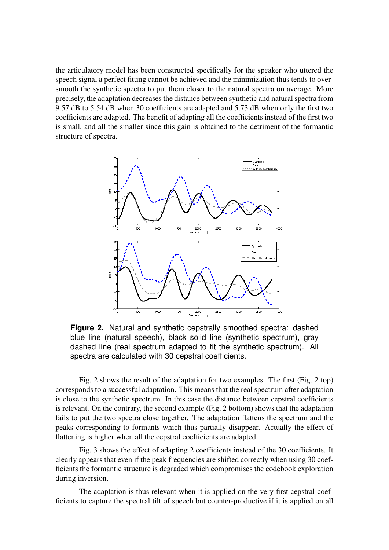the articulatory model has been constructed specifically for the speaker who uttered the speech signal a perfect fitting cannot be achieved and the minimization thus tends to oversmooth the synthetic spectra to put them closer to the natural spectra on average. More precisely, the adaptation decreases the distance between synthetic and natural spectra from 9.57 dB to 5.54 dB when 30 coefficients are adapted and 5.73 dB when only the first two coefficients are adapted. The benefit of adapting all the coefficients instead of the first two is small, and all the smaller since this gain is obtained to the detriment of the formantic structure of spectra.



**Figure 2.** Natural and synthetic cepstrally smoothed spectra: dashed blue line (natural speech), black solid line (synthetic spectrum), gray dashed line (real spectrum adapted to fit the synthetic spectrum). All spectra are calculated with 30 cepstral coefficients.

Fig. 2 shows the result of the adaptation for two examples. The first (Fig. 2 top) corresponds to a successful adaptation. This means that the real spectrum after adaptation is close to the synthetic spectrum. In this case the distance between cepstral coefficients is relevant. On the contrary, the second example (Fig. 2 bottom) shows that the adaptation fails to put the two spectra close together. The adaptation flattens the spectrum and the peaks corresponding to formants which thus partially disappear. Actually the effect of flattening is higher when all the cepstral coefficients are adapted.

Fig. 3 shows the effect of adapting 2 coefficients instead of the 30 coefficients. It clearly appears that even if the peak frequencies are shifted correctly when using 30 coefficients the formantic structure is degraded which compromises the codebook exploration during inversion.

The adaptation is thus relevant when it is applied on the very first cepstral coefficients to capture the spectral tilt of speech but counter-productive if it is applied on all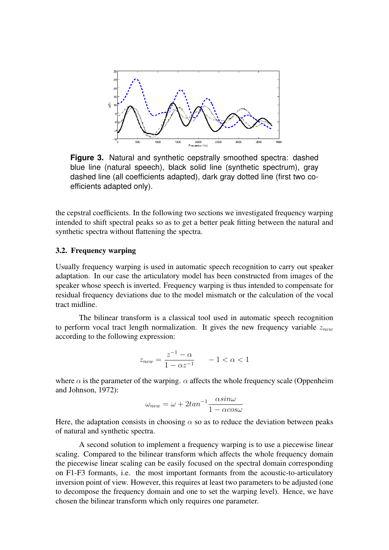

**Figure 3.** Natural and synthetic cepstrally smoothed spectra: dashed blue line (natural speech), black solid line (synthetic spectrum), gray dashed line (all coefficients adapted), dark gray dotted line (first two coefficients adapted only).

the cepstral coefficients. In the following two sections we investigated frequency warping intended to shift spectral peaks so as to get a better peak fitting between the natural and synthetic spectra without flattening the spectra.

#### 3.2. Frequency warping

Usually frequency warping is used in automatic speech recognition to carry out speaker adaptation. In our case the articulatory model has been constructed from images of the speaker whose speech is inverted. Frequency warping is thus intended to compensate for residual frequency deviations due to the model mismatch or the calculation of the vocal tract midline.

The bilinear transform is a classical tool used in automatic speech recognition to perform vocal tract length normalization. It gives the new frequency variable  $z_{new}$ according to the following expression:

$$
z_{new} = \frac{z^{-1} - \alpha}{1 - \alpha z^{-1}} \qquad -1 < \alpha < 1
$$

where  $\alpha$  is the parameter of the warping.  $\alpha$  affects the whole frequency scale (Oppenheim and Johnson, 1972):

$$
\omega_{new} = \omega + 2tan^{-1} \frac{\alpha sin\omega}{1 - \alpha cos\omega}
$$

Here, the adaptation consists in choosing  $\alpha$  so as to reduce the deviation between peaks of natural and synthetic spectra.

A second solution to implement a frequency warping is to use a piecewise linear scaling. Compared to the bilinear transform which affects the whole frequency domain the piecewise linear scaling can be easily focused on the spectral domain corresponding on F1-F3 formants, i.e. the most important formants from the acoustic-to-articulatory inversion point of view. However, this requires at least two parameters to be adjusted (one to decompose the frequency domain and one to set the warping level). Hence, we have chosen the bilinear transform which only requires one parameter.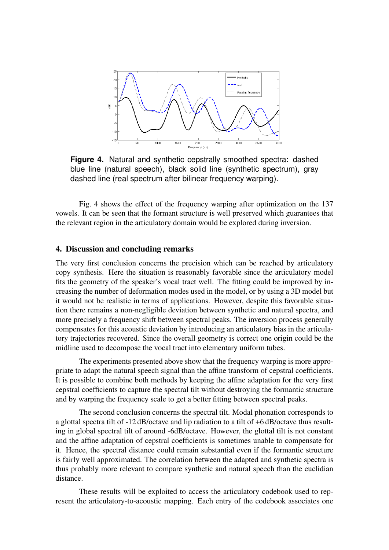

**Figure 4.** Natural and synthetic cepstrally smoothed spectra: dashed blue line (natural speech), black solid line (synthetic spectrum), gray dashed line (real spectrum after bilinear frequency warping).

Fig. 4 shows the effect of the frequency warping after optimization on the 137 vowels. It can be seen that the formant structure is well preserved which guarantees that the relevant region in the articulatory domain would be explored during inversion.

#### 4. Discussion and concluding remarks

The very first conclusion concerns the precision which can be reached by articulatory copy synthesis. Here the situation is reasonably favorable since the articulatory model fits the geometry of the speaker's vocal tract well. The fitting could be improved by increasing the number of deformation modes used in the model, or by using a 3D model but it would not be realistic in terms of applications. However, despite this favorable situation there remains a non-negligible deviation between synthetic and natural spectra, and more precisely a frequency shift between spectral peaks. The inversion process generally compensates for this acoustic deviation by introducing an articulatory bias in the articulatory trajectories recovered. Since the overall geometry is correct one origin could be the midline used to decompose the vocal tract into elementary uniform tubes.

The experiments presented above show that the frequency warping is more appropriate to adapt the natural speech signal than the affine transform of cepstral coefficients. It is possible to combine both methods by keeping the affine adaptation for the very first cepstral coefficients to capture the spectral tilt without destroying the formantic structure and by warping the frequency scale to get a better fitting between spectral peaks.

The second conclusion concerns the spectral tilt. Modal phonation corresponds to a glottal spectra tilt of -12 dB/octave and lip radiation to a tilt of +6 dB/octave thus resulting in global spectral tilt of around -6dB/octave. However, the glottal tilt is not constant and the affine adaptation of cepstral coefficients is sometimes unable to compensate for it. Hence, the spectral distance could remain substantial even if the formantic structure is fairly well approximated. The correlation between the adapted and synthetic spectra is thus probably more relevant to compare synthetic and natural speech than the euclidian distance.

These results will be exploited to access the articulatory codebook used to represent the articulatory-to-acoustic mapping. Each entry of the codebook associates one